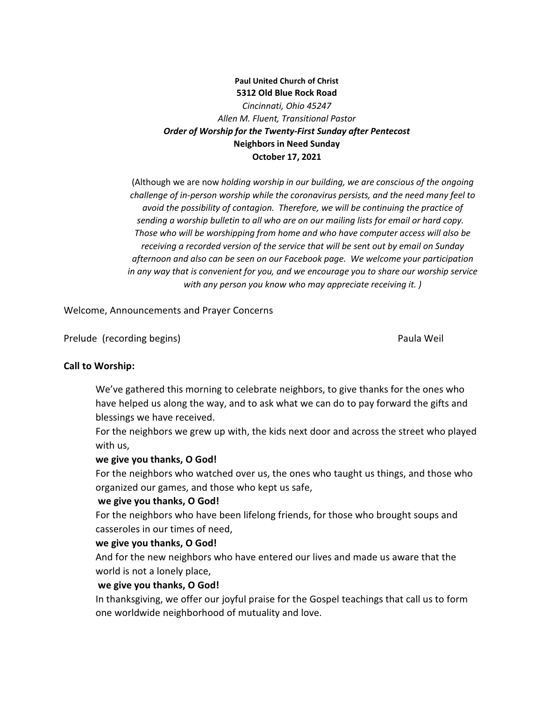# **Paul United Church of Christ 5312 Old Blue Rock Road** *Cincinnati, Ohio 45247 Allen M. Fluent, Transitional Pastor Order of Worship for the Twenty-First Sunday after Pentecost* **Neighbors in Need Sunday October 17, 2021**

(Although we are now *holding worship in our building, we are conscious of the ongoing challenge of in-person worship while the coronavirus persists, and the need many feel to avoid the possibility of contagion. Therefore, we will be continuing the practice of sending a worship bulletin to all who are on our mailing lists for email or hard copy. Those who will be worshipping from home and who have computer access will also be receiving a recorded version of the service that will be sent out by email on Sunday afternoon and also can be seen on our Facebook page. We welcome your participation in any way that is convenient for you, and we encourage you to share our worship service with any person you know who may appreciate receiving it. )*

Welcome, Announcements and Prayer Concerns

Prelude (recording begins) and the extension of the extendio part of the Paula Weil

#### **Call to Worship:**

We've gathered this morning to celebrate neighbors, to give thanks for the ones who have helped us along the way, and to ask what we can do to pay forward the gifts and blessings we have received.

For the neighbors we grew up with, the kids next door and across the street who played with us,

#### **we give you thanks, O God!**

For the neighbors who watched over us, the ones who taught us things, and those who organized our games, and those who kept us safe,

## **we give you thanks, O God!**

For the neighbors who have been lifelong friends, for those who brought soups and casseroles in our times of need,

## **we give you thanks, O God!**

And for the new neighbors who have entered our lives and made us aware that the world is not a lonely place,

## **we give you thanks, O God!**

In thanksgiving, we offer our joyful praise for the Gospel teachings that call us to form one worldwide neighborhood of mutuality and love.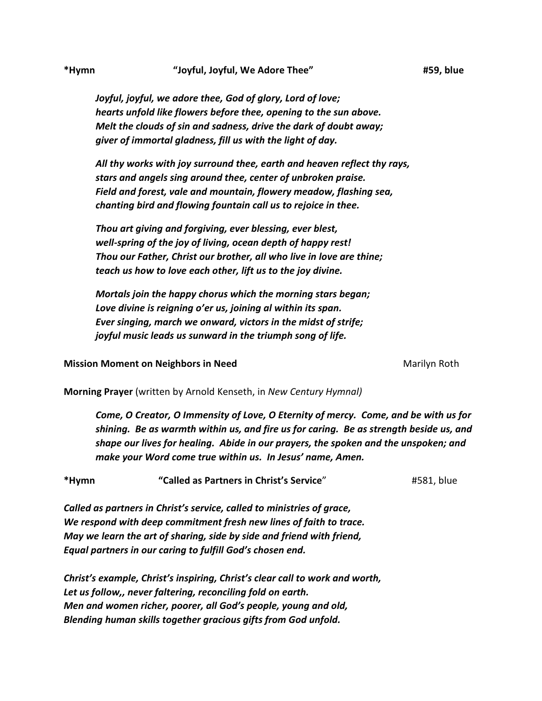*Joyful, joyful, we adore thee, God of glory, Lord of love; hearts unfold like flowers before thee, opening to the sun above. Melt the clouds of sin and sadness, drive the dark of doubt away; giver of immortal gladness, fill us with the light of day.*

*All thy works with joy surround thee, earth and heaven reflect thy rays, stars and angels sing around thee, center of unbroken praise. Field and forest, vale and mountain, flowery meadow, flashing sea, chanting bird and flowing fountain call us to rejoice in thee.*

*Thou art giving and forgiving, ever blessing, ever blest, well-spring of the joy of living, ocean depth of happy rest! Thou our Father, Christ our brother, all who live in love are thine; teach us how to love each other, lift us to the joy divine.*

*Mortals join the happy chorus which the morning stars began; Love divine is reigning o'er us, joining al within its span. Ever singing, march we onward, victors in the midst of strife; joyful music leads us sunward in the triumph song of life.*

**Mission Moment on Neighbors in Need <b>Marilyon** Marilyn Roth

**Morning Prayer** (written by Arnold Kenseth, in *New Century Hymnal)*

*Come, O Creator, O Immensity of Love, O Eternity of mercy. Come, and be with us for shining. Be as warmth within us, and fire us for caring. Be as strength beside us, and shape our lives for healing. Abide in our prayers, the spoken and the unspoken; and make your Word come true within us. In Jesus' name, Amen.*

**\*Hymn****"Called as Partners in Christ's Service**" #581, blue

*Called as partners in Christ's service, called to ministries of grace, We respond with deep commitment fresh new lines of faith to trace. May we learn the art of sharing, side by side and friend with friend, Equal partners in our caring to fulfill God's chosen end.*

*Christ's example, Christ's inspiring, Christ's clear call to work and worth, Let us follow,, never faltering, reconciling fold on earth. Men and women richer, poorer, all God's people, young and old, Blending human skills together gracious gifts from God unfold.*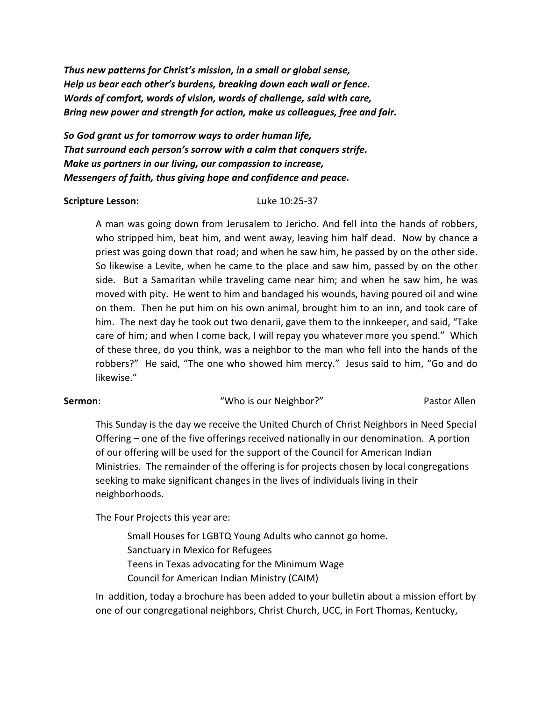*Thus new patterns for Christ's mission, in a small or global sense, Help us bear each other's burdens, breaking down each wall or fence. Words of comfort, words of vision, words of challenge, said with care, Bring new power and strength for action, make us colleagues, free and fair.*

*So God grant us for tomorrow ways to order human life, That surround each person's sorrow with a calm that conquers strife. Make us partners in our living, our compassion to increase, Messengers of faith, thus giving hope and confidence and peace.*

#### **Scripture Lesson:** Luke 10:25-37

A man was going down from Jerusalem to Jericho. And fell into the hands of robbers, who stripped him, beat him, and went away, leaving him half dead. Now by chance a priest was going down that road; and when he saw him, he passed by on the other side. So likewise a Levite, when he came to the place and saw him, passed by on the other side. But a Samaritan while traveling came near him; and when he saw him, he was moved with pity. He went to him and bandaged his wounds, having poured oil and wine on them. Then he put him on his own animal, brought him to an inn, and took care of him. The next day he took out two denarii, gave them to the innkeeper, and said, "Take care of him; and when I come back, I will repay you whatever more you spend." Which of these three, do you think, was a neighbor to the man who fell into the hands of the robbers?" He said, "The one who showed him mercy." Jesus said to him, "Go and do likewise."

#### **Sermon:** The sermon of the sermon with the sermon of the series of the series of the series of the series of the series of the series of the series of the series of the series of the series of the series of the series of

This Sunday is the day we receive the United Church of Christ Neighbors in Need Special Offering – one of the five offerings received nationally in our denomination. A portion of our offering will be used for the support of the Council for American Indian Ministries. The remainder of the offering is for projects chosen by local congregations seeking to make significant changes in the lives of individuals living in their neighborhoods.

The Four Projects this year are:

Small Houses for LGBTQ Young Adults who cannot go home. Sanctuary in Mexico for Refugees Teens in Texas advocating for the Minimum Wage Council for American Indian Ministry (CAIM)

In addition, today a brochure has been added to your bulletin about a mission effort by one of our congregational neighbors, Christ Church, UCC, in Fort Thomas, Kentucky,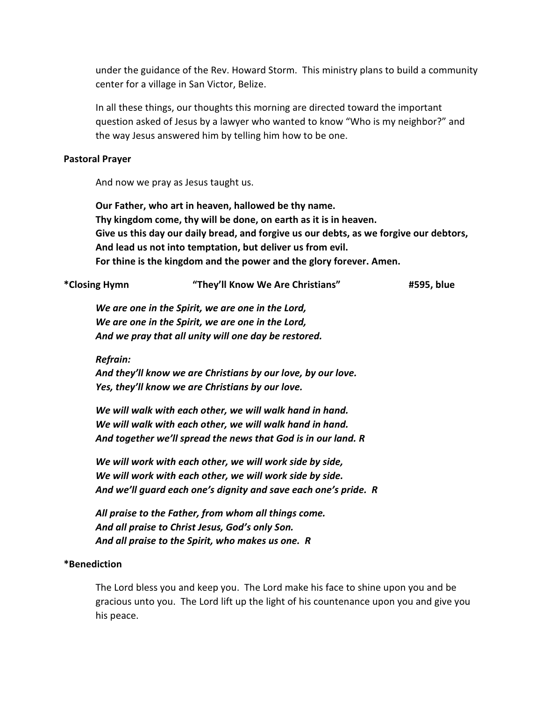under the guidance of the Rev. Howard Storm. This ministry plans to build a community center for a village in San Victor, Belize.

In all these things, our thoughts this morning are directed toward the important question asked of Jesus by a lawyer who wanted to know "Who is my neighbor?" and the way Jesus answered him by telling him how to be one.

### **Pastoral Prayer**

And now we pray as Jesus taught us.

**Our Father, who art in heaven, hallowed be thy name. Thy kingdom come, thy will be done, on earth as it is in heaven. Give us this day our daily bread, and forgive us our debts, as we forgive our debtors, And lead us not into temptation, but deliver us from evil. For thine is the kingdom and the power and the glory forever. Amen.**

| *Closing Hymn | "They'll Know We Are Christians" | #595, blue |
|---------------|----------------------------------|------------|
|               |                                  |            |

*We are one in the Spirit, we are one in the Lord, We are one in the Spirit, we are one in the Lord, And we pray that all unity will one day be restored.*

*Refrain:*

*And they'll know we are Christians by our love, by our love. Yes, they'll know we are Christians by our love.*

*We will walk with each other, we will walk hand in hand. We will walk with each other, we will walk hand in hand. And together we'll spread the news that God is in our land. R*

*We will work with each other, we will work side by side, We will work with each other, we will work side by side. And we'll guard each one's dignity and save each one's pride. R*

*All praise to the Father, from whom all things come. And all praise to Christ Jesus, God's only Son. And all praise to the Spirit, who makes us one. R*

## **\*Benediction**

The Lord bless you and keep you. The Lord make his face to shine upon you and be gracious unto you. The Lord lift up the light of his countenance upon you and give you his peace.